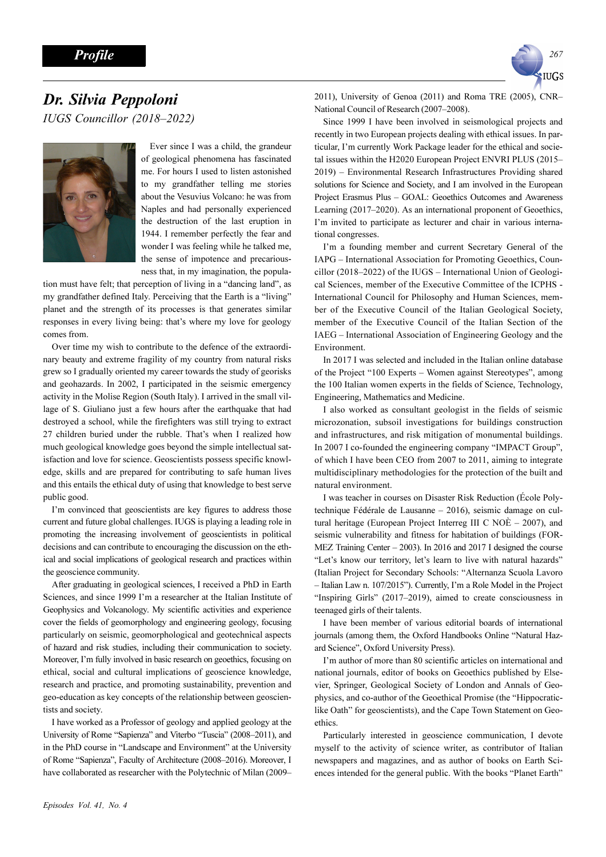

## Dr. Silvia Peppoloni IUGS Councillor (2018–2022)



Ever since I was a child, the grandeur of geological phenomena has fascinated me. For hours I used to listen astonished to my grandfather telling me stories about the Vesuvius Volcano: he was from Naples and had personally experienced the destruction of the last eruption in 1944. I remember perfectly the fear and wonder I was feeling while he talked me, the sense of impotence and precariousness that, in my imagination, the popula-

tion must have felt; that perception of living in a "dancing land", as my grandfather defined Italy. Perceiving that the Earth is a "living" planet and the strength of its processes is that generates similar responses in every living being: that's where my love for geology comes from.

Over time my wish to contribute to the defence of the extraordinary beauty and extreme fragility of my country from natural risks grew so I gradually oriented my career towards the study of georisks and geohazards. In 2002, I participated in the seismic emergency activity in the Molise Region (South Italy). I arrived in the small village of S. Giuliano just a few hours after the earthquake that had destroyed a school, while the firefighters was still trying to extract 27 children buried under the rubble. That's when I realized how much geological knowledge goes beyond the simple intellectual satisfaction and love for science. Geoscientists possess specific knowledge, skills and are prepared for contributing to safe human lives and this entails the ethical duty of using that knowledge to best serve public good.

I'm convinced that geoscientists are key figures to address those current and future global challenges. IUGS is playing a leading role in promoting the increasing involvement of geoscientists in political decisions and can contribute to encouraging the discussion on the ethical and social implications of geological research and practices within the geoscience community.

After graduating in geological sciences, I received a PhD in Earth Sciences, and since 1999 I'm a researcher at the Italian Institute of Geophysics and Volcanology. My scientific activities and experience cover the fields of geomorphology and engineering geology, focusing particularly on seismic, geomorphological and geotechnical aspects of hazard and risk studies, including their communication to society. Moreover, I'm fully involved in basic research on geoethics, focusing on ethical, social and cultural implications of geoscience knowledge, research and practice, and promoting sustainability, prevention and geo-education as key concepts of the relationship between geoscientists and society.

I have worked as a Professor of geology and applied geology at the University of Rome "Sapienza" and Viterbo "Tuscia" (2008–2011), and in the PhD course in "Landscape and Environment" at the University of Rome "Sapienza", Faculty of Architecture (2008–2016). Moreover, I have collaborated as researcher with the Polytechnic of Milan (2009– 2011), University of Genoa (2011) and Roma TRE (2005), CNR– National Council of Research (2007–2008).

Since 1999 I have been involved in seismological projects and recently in two European projects dealing with ethical issues. In particular, I'm currently Work Package leader for the ethical and societal issues within the H2020 European Project ENVRI PLUS (2015– 2019) – Environmental Research Infrastructures Providing shared solutions for Science and Society, and I am involved in the European Project Erasmus Plus – GOAL: Geoethics Outcomes and Awareness Learning (2017–2020). As an international proponent of Geoethics, I'm invited to participate as lecturer and chair in various international congresses.

I'm a founding member and current Secretary General of the IAPG – International Association for Promoting Geoethics, Councillor (2018–2022) of the IUGS – International Union of Geological Sciences, member of the Executive Committee of the ICPHS - International Council for Philosophy and Human Sciences, member of the Executive Council of the Italian Geological Society, member of the Executive Council of the Italian Section of the IAEG – International Association of Engineering Geology and the Environment.

In 2017 I was selected and included in the Italian online database of the Project "100 Experts – Women against Stereotypes", among the 100 Italian women experts in the fields of Science, Technology, Engineering, Mathematics and Medicine.

I also worked as consultant geologist in the fields of seismic microzonation, subsoil investigations for buildings construction and infrastructures, and risk mitigation of monumental buildings. In 2007 I co-founded the engineering company "IMPACT Group", of which I have been CEO from 2007 to 2011, aiming to integrate multidisciplinary methodologies for the protection of the built and natural environment.

I was teacher in courses on Disaster Risk Reduction (École Polytechnique Fédérale de Lausanne – 2016), seismic damage on cultural heritage (European Project Interreg III C NO $\dot{E}$  – 2007), and seismic vulnerability and fitness for habitation of buildings (FOR-MEZ Training Center – 2003). In 2016 and 2017 I designed the course "Let's know our territory, let's learn to live with natural hazards" (Italian Project for Secondary Schools: "Alternanza Scuola Lavoro – Italian Law n. 107/2015"). Currently, I'm a Role Model in the Project "Inspiring Girls" (2017–2019), aimed to create consciousness in teenaged girls of their talents.

I have been member of various editorial boards of international journals (among them, the Oxford Handbooks Online "Natural Hazard Science", Oxford University Press).

I'm author of more than 80 scientific articles on international and national journals, editor of books on Geoethics published by Elsevier, Springer, Geological Society of London and Annals of Geophysics, and co-author of the Geoethical Promise (the "Hippocraticlike Oath" for geoscientists), and the Cape Town Statement on Geoethics.

Particularly interested in geoscience communication, I devote myself to the activity of science writer, as contributor of Italian newspapers and magazines, and as author of books on Earth Sciences intended for the general public. With the books "Planet Earth"